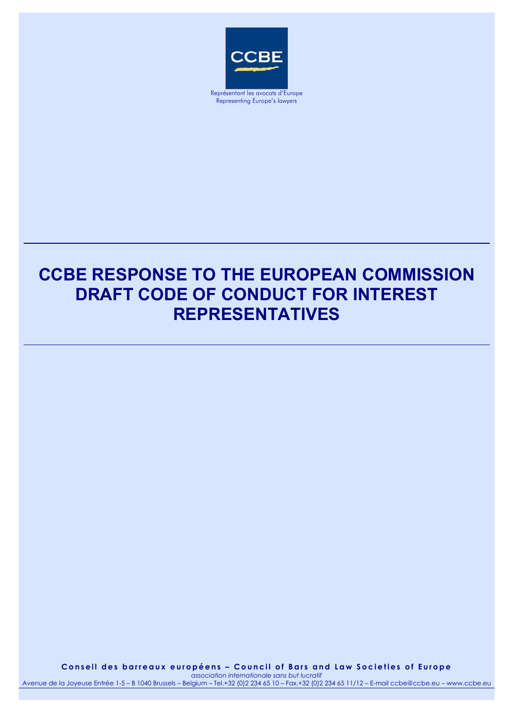

Représentant les avocats d'Europe Representing Europe's lawyers

# **CCBE RESPONSE TO THE EUROPEAN COMMISSION DRAFT CODE OF CONDUCT FOR INTEREST REPRESENTATIVES**

**Conseil des barreaux européens – Council of Bars and Law Societies of Europe** 

*association internationale sans but lucratif* Avenue de la Joyeuse Entrée 1-5 – B 1040 Brussels – Belgium – Tel.+32 (0)2 234 65 10 – Fax.+32 (0)2 234 65 11/12 – E-mail ccbe@ccbe.eu – www.ccbe.eu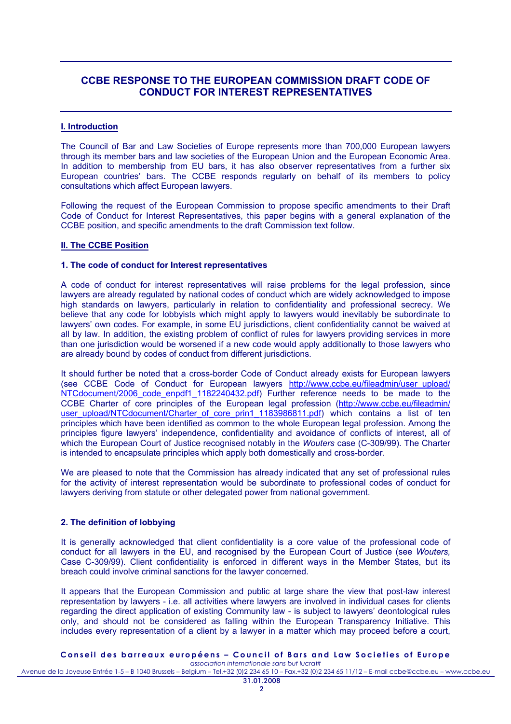# **CCBE RESPONSE TO THE EUROPEAN COMMISSION DRAFT CODE OF CONDUCT FOR INTEREST REPRESENTATIVES**

## **I. Introduction**

The Council of Bar and Law Societies of Europe represents more than 700,000 European lawyers through its member bars and law societies of the European Union and the European Economic Area. In addition to membership from EU bars, it has also observer representatives from a further six European countries' bars. The CCBE responds regularly on behalf of its members to policy consultations which affect European lawyers.

Following the request of the European Commission to propose specific amendments to their Draft Code of Conduct for Interest Representatives, this paper begins with a general explanation of the CCBE position, and specific amendments to the draft Commission text follow.

#### **II. The CCBE Position**

#### **1. The code of conduct for Interest representatives**

A code of conduct for interest representatives will raise problems for the legal profession, since lawyers are already regulated by national codes of conduct which are widely acknowledged to impose high standards on lawyers, particularly in relation to confidentiality and professional secrecy. We believe that any code for lobbyists which might apply to lawyers would inevitably be subordinate to lawyers' own codes. For example, in some EU jurisdictions, client confidentiality cannot be waived at all by law. In addition, the existing problem of conflict of rules for lawyers providing services in more than one jurisdiction would be worsened if a new code would apply additionally to those lawyers who are already bound by codes of conduct from different jurisdictions.

It should further be noted that a cross-border Code of Conduct already exists for European lawyers (see CCBE Code of Conduct for European lawyers [http://www.ccbe.eu/fileadmin/user\\_upload/](http://www.ccbe.eu/fileadmin/user_upload/NTCdocument/2006_code_enpdf1_1182240432.pdf) NTCdocument/2006 code enpdf1 1182240432.pdf) Further reference needs to be made to the CCBE Charter of core principles of the European legal profession [\(http://www.ccbe.eu/fileadmin/](http://www.ccbe.eu/fileadmin/user_upload/NTCdocument/Charter_of_core_prin1_1183986811.pdf) [user\\_upload/NTCdocument/Charter\\_of\\_core\\_prin1\\_1183986811.pdf\)](http://www.ccbe.eu/fileadmin/user_upload/NTCdocument/Charter_of_core_prin1_1183986811.pdf) which contains a list of ten principles which have been identified as common to the whole European legal profession. Among the principles figure lawyers' independence, confidentiality and avoidance of conflicts of interest, all of which the European Court of Justice recognised notably in the *Wouters* case (C-309/99). The Charter is intended to encapsulate principles which apply both domestically and cross-border.

We are pleased to note that the Commission has already indicated that any set of professional rules for the activity of interest representation would be subordinate to professional codes of conduct for lawyers deriving from statute or other delegated power from national government.

# **2. The definition of lobbying**

It is generally acknowledged that client confidentiality is a core value of the professional code of conduct for all lawyers in the EU, and recognised by the European Court of Justice (see *Wouters,*  Case C-309/99). Client confidentiality is enforced in different ways in the Member States, but its breach could involve criminal sanctions for the lawyer concerned.

It appears that the European Commission and public at large share the view that post-law interest representation by lawyers - i.e. all activities where lawyers are involved in individual cases for clients regarding the direct application of existing Community law - is subject to lawyers' deontological rules only, and should not be considered as falling within the European Transparency Initiative. This includes every representation of a client by a lawyer in a matter which may proceed before a court,

# **Conseil des barreaux européens – Council of Bars and Law Societies of Europe**

*association internationale sans but lucratif* Avenue de la Joyeuse Entrée 1-5 – B 1040 Brussels – Belgium – Tel.+32 (0)2 234 65 10 – Fax.+32 (0)2 234 65 11/12 – E-mail ccbe@ccbe.eu – www.ccbe.eu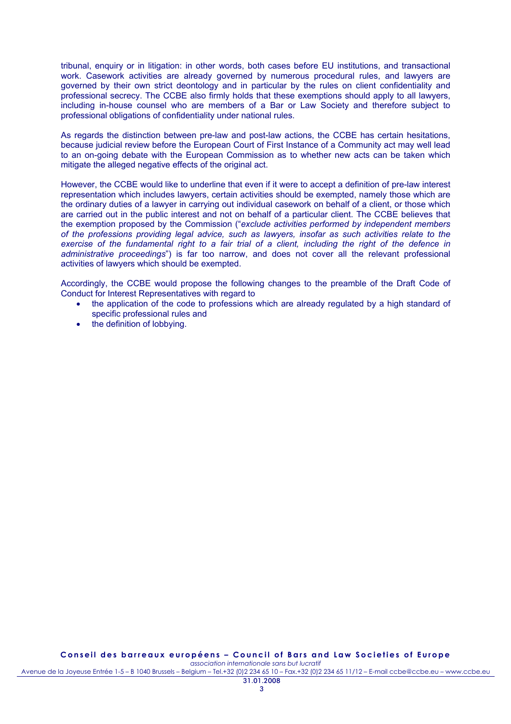tribunal, enquiry or in litigation: in other words, both cases before EU institutions, and transactional work. Casework activities are already governed by numerous procedural rules, and lawyers are governed by their own strict deontology and in particular by the rules on client confidentiality and professional secrecy. The CCBE also firmly holds that these exemptions should apply to all lawyers, including in-house counsel who are members of a Bar or Law Society and therefore subject to professional obligations of confidentiality under national rules.

As regards the distinction between pre-law and post-law actions, the CCBE has certain hesitations, because judicial review before the European Court of First Instance of a Community act may well lead to an on-going debate with the European Commission as to whether new acts can be taken which mitigate the alleged negative effects of the original act.

However, the CCBE would like to underline that even if it were to accept a definition of pre-law interest representation which includes lawyers, certain activities should be exempted, namely those which are the ordinary duties of a lawyer in carrying out individual casework on behalf of a client, or those which are carried out in the public interest and not on behalf of a particular client. The CCBE believes that the exemption proposed by the Commission ("*exclude activities performed by independent members of the professions providing legal advice, such as lawyers, insofar as such activities relate to the exercise of the fundamental right to a fair trial of a client, including the right of the defence in administrative proceedings*") is far too narrow, and does not cover all the relevant professional activities of lawyers which should be exempted.

Accordingly, the CCBE would propose the following changes to the preamble of the Draft Code of Conduct for Interest Representatives with regard to

- the application of the code to professions which are already regulated by a high standard of specific professional rules and
- the definition of lobbying.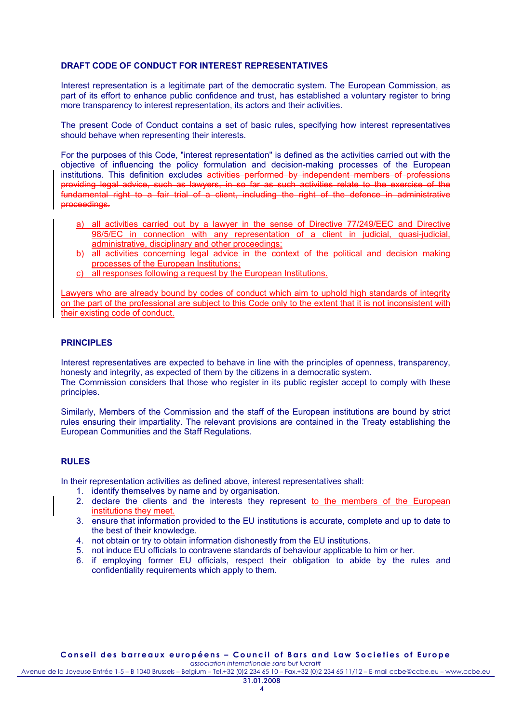### **DRAFT CODE OF CONDUCT FOR INTEREST REPRESENTATIVES**

Interest representation is a legitimate part of the democratic system. The European Commission, as part of its effort to enhance public confidence and trust, has established a voluntary register to bring more transparency to interest representation, its actors and their activities.

The present Code of Conduct contains a set of basic rules, specifying how interest representatives should behave when representing their interests.

For the purposes of this Code, "interest representation" is defined as the activities carried out with the objective of influencing the policy formulation and decision-making processes of the European institutions. This definition excludes activities performed by independent members of professions providing legal advice, such as lawyers, in so far as such activities relate to the exercise of the fundamental right to a fair trial of a client, including the right of the defence in administrative proceedings.

- a) all activities carried out by a lawyer in the sense of Directive 77/249/EEC and Directive 98/5/EC in connection with any representation of a client in judicial, quasi-judicial, administrative, disciplinary and other proceedings;
- b) all activities concerning legal advice in the context of the political and decision making processes of the European Institutions;
- c) all responses following a request by the European Institutions.

Lawyers who are already bound by codes of conduct which aim to uphold high standards of integrity on the part of the professional are subject to this Code only to the extent that it is not inconsistent with their existing code of conduct.

#### **PRINCIPLES**

Interest representatives are expected to behave in line with the principles of openness, transparency, honesty and integrity, as expected of them by the citizens in a democratic system.

The Commission considers that those who register in its public register accept to comply with these principles.

Similarly, Members of the Commission and the staff of the European institutions are bound by strict rules ensuring their impartiality. The relevant provisions are contained in the Treaty establishing the European Communities and the Staff Regulations.

# **RULES**

In their representation activities as defined above, interest representatives shall:

- 1. identify themselves by name and by organisation.
- 2. declare the clients and the interests they represent to the members of the European institutions they meet.
- 3. ensure that information provided to the EU institutions is accurate, complete and up to date to the best of their knowledge.
- 4. not obtain or try to obtain information dishonestly from the EU institutions.
- 5. not induce EU officials to contravene standards of behaviour applicable to him or her.
- 6. if employing former EU officials, respect their obligation to abide by the rules and confidentiality requirements which apply to them.